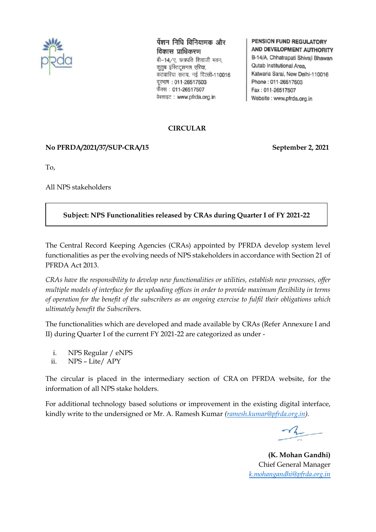

पेंशन निधि विनियामक और विकास प्राधिकरण बी-14/ए, छत्रपति शिवाजी भवन, कृतुब इंस्टिट्शनल एरिया. कटवारिया संराय, नई दिल्ली-110016 दूरभाष: 011-26517503 फैक्स : 011-26517507 वेबसाइट: www.pfrda.org.in

#### **PENSION FUND REGULATORY** AND DEVELOPMENT AUTHORITY

B-14/A, Chhatrapati Shivaji Bhawan Qutab Institutional Area. Katwaria Sarai, New Delhi-110016 Phone: 011-26517503 Fax: 011-26517507 Website: www.pfrda.org.in

### **CIRCULAR**

### **No PFRDA/2021/37/SUP-CRA/15 September 2, 2021**

To,

All NPS stakeholders

## **Subject: NPS Functionalities released by CRAs during Quarter I of FY 2021-22**

The Central Record Keeping Agencies (CRAs) appointed by PFRDA develop system level functionalities as per the evolving needs of NPS stakeholders in accordance with Section 21 of PFRDA Act 2013.

*CRAs have the responsibility to develop new functionalities or utilities, establish new processes, offer multiple models of interface for the uploading offices in order to provide maximum flexibility in terms of operation for the benefit of the subscribers as an ongoing exercise to fulfil their obligations which ultimately benefit the Subscriber*s.

The functionalities which are developed and made available by CRAs (Refer Annexure I and II) during Quarter I of the current FY 2021-22 are categorized as under -

- i. NPS Regular / eNPS
- ii. NPS Lite/ APY

The circular is placed in the intermediary section of CRA on PFRDA website, for the information of all NPS stake holders.

For additional technology based solutions or improvement in the existing digital interface, kindly write to the undersigned or Mr. A. Ramesh Kumar *[\(ramesh.kumar@pfrda.org.in\)](mailto:ramesh.kumar@pfrda.org.in).*

**(K. Mohan Gandhi)** Chief General Manager  *[k.mohangandhi@pfrda.org.in](mailto:k.mohangandhi@pfrda.org.in)*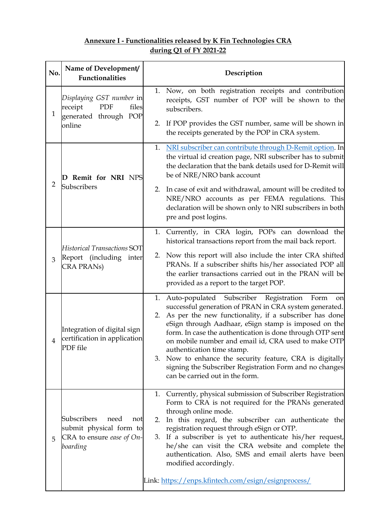# **Annexure I - Functionalities released by K Fin Technologies CRA during Q1 of FY 2021-22**

| No.            | Name of Development/<br><b>Functionalities</b>                                                   | Description                                                                                                                                                                                                                                                                                                                                                                                                                                                                                                                                                 |
|----------------|--------------------------------------------------------------------------------------------------|-------------------------------------------------------------------------------------------------------------------------------------------------------------------------------------------------------------------------------------------------------------------------------------------------------------------------------------------------------------------------------------------------------------------------------------------------------------------------------------------------------------------------------------------------------------|
| $\mathbf{1}$   | Displaying GST number in<br>files<br>receipt<br>PDF<br>generated through POP<br>online           | Now, on both registration receipts and contribution<br>1.<br>receipts, GST number of POP will be shown to the<br>subscribers.                                                                                                                                                                                                                                                                                                                                                                                                                               |
|                |                                                                                                  | If POP provides the GST number, same will be shown in<br>2.<br>the receipts generated by the POP in CRA system.                                                                                                                                                                                                                                                                                                                                                                                                                                             |
| $\overline{2}$ | D Remit for NRI NPS<br>Subscribers                                                               | NRI subscriber can contribute through D-Remit option. In<br>1.<br>the virtual id creation page, NRI subscriber has to submit<br>the declaration that the bank details used for D-Remit will<br>be of NRE/NRO bank account                                                                                                                                                                                                                                                                                                                                   |
|                |                                                                                                  | In case of exit and withdrawal, amount will be credited to<br>2.<br>NRE/NRO accounts as per FEMA regulations. This<br>declaration will be shown only to NRI subscribers in both<br>pre and post logins.                                                                                                                                                                                                                                                                                                                                                     |
|                | <b>Historical Transactions SOT</b><br>Report (including<br>inter<br><b>CRA PRANS</b> )           | Currently, in CRA login, POPs can download the<br>1.<br>historical transactions report from the mail back report.                                                                                                                                                                                                                                                                                                                                                                                                                                           |
| 3              |                                                                                                  | Now this report will also include the inter CRA shifted<br>2.<br>PRANs. If a subscriber shifts his/her associated POP all<br>the earlier transactions carried out in the PRAN will be<br>provided as a report to the target POP.                                                                                                                                                                                                                                                                                                                            |
| $\overline{4}$ | Integration of digital sign<br>certification in application<br>PDF file                          | Auto-populated Subscriber Registration<br>1.<br>Form<br>on<br>successful generation of PRAN in CRA system generated.<br>As per the new functionality, if a subscriber has done<br>2.<br>eSign through Aadhaar, eSign stamp is imposed on the<br>form. In case the authentication is done through OTP sent<br>on mobile number and email id, CRA used to make OTP<br>authentication time stamp.<br>Now to enhance the security feature, CRA is digitally<br>3.<br>signing the Subscriber Registration Form and no changes<br>can be carried out in the form. |
| 5              | Subscribers<br>need<br>not<br>submit physical form to<br>CRA to ensure ease of $On-$<br>boarding | Currently, physical submission of Subscriber Registration<br>1.<br>Form to CRA is not required for the PRANs generated<br>through online mode.<br>In this regard, the subscriber can authenticate the<br>2.<br>registration request through eSign or OTP.<br>If a subscriber is yet to authenticate his/her request,<br>3.<br>he/she can visit the CRA website and complete the<br>authentication. Also, SMS and email alerts have been<br>modified accordingly.                                                                                            |
|                |                                                                                                  | Link: https://enps.kfintech.com/esign/esignprocess/                                                                                                                                                                                                                                                                                                                                                                                                                                                                                                         |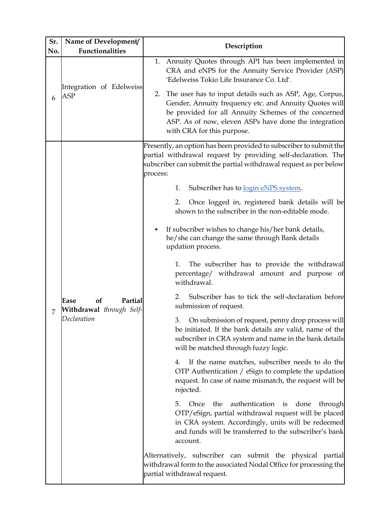| Sr.<br>No. | Name of Development/<br><b>Functionalities</b>                   | Description                                                                                                                                                                                                                                                                                                                                                                                                                                                                                                                                                                                                                                                                                                                                                                                                                                                                                                                                                                                                                                                                                                                                                                                                                                                                                                                                                                                                                                                                                                                                               |
|------------|------------------------------------------------------------------|-----------------------------------------------------------------------------------------------------------------------------------------------------------------------------------------------------------------------------------------------------------------------------------------------------------------------------------------------------------------------------------------------------------------------------------------------------------------------------------------------------------------------------------------------------------------------------------------------------------------------------------------------------------------------------------------------------------------------------------------------------------------------------------------------------------------------------------------------------------------------------------------------------------------------------------------------------------------------------------------------------------------------------------------------------------------------------------------------------------------------------------------------------------------------------------------------------------------------------------------------------------------------------------------------------------------------------------------------------------------------------------------------------------------------------------------------------------------------------------------------------------------------------------------------------------|
| 6          | Integration of Edelweiss<br><b>ASP</b>                           | 1. Annuity Quotes through API has been implemented in<br>CRA and eNPS for the Annuity Service Provider (ASP)<br>'Edelweiss Tokio Life Insurance Co. Ltd'.<br>The user has to input details such as ASP, Age, Corpus,<br>2.<br>Gender, Annuity frequency etc. and Annuity Quotes will<br>be provided for all Annuity Schemes of the concerned<br>ASP. As of now, eleven ASPs have done the integration<br>with CRA for this purpose.                                                                                                                                                                                                                                                                                                                                                                                                                                                                                                                                                                                                                                                                                                                                                                                                                                                                                                                                                                                                                                                                                                                       |
|            | of<br>Partial<br>Ease<br>Withdrawal through Self-<br>Declaration | Presently, an option has been provided to subscriber to submit the<br>partial withdrawal request by providing self-declaration. The<br>subscriber can submit the partial withdrawal request as per below<br>process:<br>Subscriber has to login eNPS system.<br>1.<br>Once logged in, registered bank details will be<br>2.<br>shown to the subscriber in the non-editable mode.<br>If subscriber wishes to change his/her bank details,<br>he/she can change the same through Bank details<br>updation process.<br>The subscriber has to provide the withdrawal<br>1.<br>percentage/ withdrawal amount and purpose of<br>withdrawal.<br>Subscriber has to tick the self-declaration before<br>2.<br>submission of request.<br>3. On submission of request, penny drop process will<br>be initiated. If the bank details are valid, name of the<br>subscriber in CRA system and name in the bank details<br>will be matched through fuzzy logic.<br>If the name matches, subscriber needs to do the<br>4.<br>OTP Authentication / eSign to complete the updation<br>request. In case of name mismatch, the request will be<br>rejected.<br>Once<br>authentication is<br>5.<br>the<br>done<br>through<br>OTP/eSign, partial withdrawal request will be placed<br>in CRA system. Accordingly, units will be redeemed<br>and funds will be transferred to the subscriber's bank<br>account.<br>Alternatively, subscriber can submit the physical partial<br>withdrawal form to the associated Nodal Office for processing the<br>partial withdrawal request. |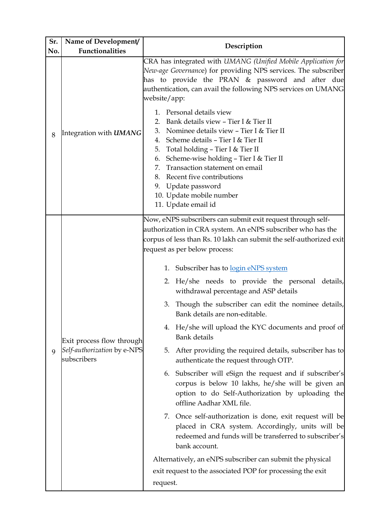| Sr. | Name of Development/                                                    | Description                                                                                                                                                                                                                                                                                                                                                                                                                                                                                                                                                                                                                                                                                                                                                                                                                                                                                                                                                                                                                                                                                                                                                                                                    |
|-----|-------------------------------------------------------------------------|----------------------------------------------------------------------------------------------------------------------------------------------------------------------------------------------------------------------------------------------------------------------------------------------------------------------------------------------------------------------------------------------------------------------------------------------------------------------------------------------------------------------------------------------------------------------------------------------------------------------------------------------------------------------------------------------------------------------------------------------------------------------------------------------------------------------------------------------------------------------------------------------------------------------------------------------------------------------------------------------------------------------------------------------------------------------------------------------------------------------------------------------------------------------------------------------------------------|
| No. | <b>Functionalities</b>                                                  |                                                                                                                                                                                                                                                                                                                                                                                                                                                                                                                                                                                                                                                                                                                                                                                                                                                                                                                                                                                                                                                                                                                                                                                                                |
| 8   | Integration with <b>UMANG</b>                                           | CRA has integrated with UMANG (Unified Mobile Application for<br>New-age Governance) for providing NPS services. The subscriber<br>has to provide the PRAN & password and after due<br>authentication, can avail the following NPS services on UMANG<br>website/app:                                                                                                                                                                                                                                                                                                                                                                                                                                                                                                                                                                                                                                                                                                                                                                                                                                                                                                                                           |
|     |                                                                         | Personal details view<br>$1_{-}$<br>Bank details view - Tier I & Tier II<br>2.<br>Nominee details view - Tier I & Tier II<br>3.<br>Scheme details - Tier I & Tier II<br>4.<br>Total holding - Tier I & Tier II<br>5.<br>Scheme-wise holding - Tier I & Tier II<br>6.<br>Transaction statement on email<br>7.<br>Recent five contributions<br>8.<br>Update password<br>9.<br>10. Update mobile number<br>11. Update email id                                                                                                                                                                                                                                                                                                                                                                                                                                                                                                                                                                                                                                                                                                                                                                                    |
| 9   | Exit process flow through<br>Self-authorization by e-NPS<br>subscribers | Now, eNPS subscribers can submit exit request through self-<br>authorization in CRA system. An eNPS subscriber who has the<br>corpus of less than Rs. 10 lakh can submit the self-authorized exit<br>request as per below process:<br>1. Subscriber has to <u>login eNPS system</u><br>He/she needs to provide the personal details,<br>2.<br>withdrawal percentage and ASP details<br>Though the subscriber can edit the nominee details,<br>3.<br>Bank details are non-editable.<br>4. He/she will upload the KYC documents and proof of<br><b>Bank</b> details<br>After providing the required details, subscriber has to<br>5.<br>authenticate the request through OTP.<br>6. Subscriber will eSign the request and if subscriber's<br>corpus is below 10 lakhs, he/she will be given an<br>option to do Self-Authorization by uploading the<br>offline Aadhar XML file.<br>7. Once self-authorization is done, exit request will be<br>placed in CRA system. Accordingly, units will be<br>redeemed and funds will be transferred to subscriber's<br>bank account.<br>Alternatively, an eNPS subscriber can submit the physical<br>exit request to the associated POP for processing the exit<br>request. |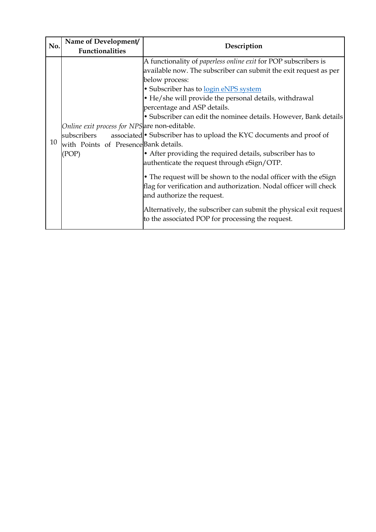| No. | Name of Development/                                                                                           | Description                                                                                                                                                                                                                                                                                                                                                                                                                                                                                                                                                                                                                                                                                                                                                                                                                                             |
|-----|----------------------------------------------------------------------------------------------------------------|---------------------------------------------------------------------------------------------------------------------------------------------------------------------------------------------------------------------------------------------------------------------------------------------------------------------------------------------------------------------------------------------------------------------------------------------------------------------------------------------------------------------------------------------------------------------------------------------------------------------------------------------------------------------------------------------------------------------------------------------------------------------------------------------------------------------------------------------------------|
|     | <b>Functionalities</b>                                                                                         |                                                                                                                                                                                                                                                                                                                                                                                                                                                                                                                                                                                                                                                                                                                                                                                                                                                         |
| 10  | Online exit process for NPS are non-editable.<br>subscribers<br>with Points of Presence Bank details.<br>(POP) | A functionality of <i>paperless online exit</i> for POP subscribers is<br>available now. The subscriber can submit the exit request as per<br>below process:<br>· Subscriber has to login eNPS system<br>• He/she will provide the personal details, withdrawal<br>percentage and ASP details.<br>• Subscriber can edit the nominee details. However, Bank details<br>associated • Subscriber has to upload the KYC documents and proof of<br>• After providing the required details, subscriber has to<br>authenticate the request through eSign/OTP.<br>• The request will be shown to the nodal officer with the eSign<br>flag for verification and authorization. Nodal officer will check<br>and authorize the request.<br>Alternatively, the subscriber can submit the physical exit request<br>to the associated POP for processing the request. |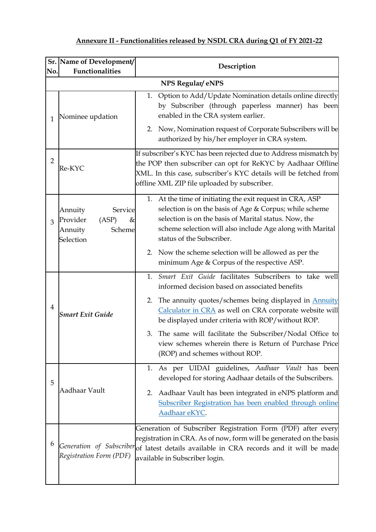| No.            | Sr. Name of Development/<br><b>Functionalities</b>                             | Description                                                                                                                                                                                                                                                             |
|----------------|--------------------------------------------------------------------------------|-------------------------------------------------------------------------------------------------------------------------------------------------------------------------------------------------------------------------------------------------------------------------|
|                |                                                                                | NPS Regular/eNPS                                                                                                                                                                                                                                                        |
| 1              | Nominee updation                                                               | 1. Option to Add/Update Nomination details online directly<br>by Subscriber (through paperless manner) has been<br>enabled in the CRA system earlier.                                                                                                                   |
|                |                                                                                | Now, Nomination request of Corporate Subscribers will be<br>2.<br>authorized by his/her employer in CRA system.                                                                                                                                                         |
| $\overline{2}$ | Re-KYC                                                                         | If subscriber's KYC has been rejected due to Address mismatch by<br>the POP then subscriber can opt for ReKYC by Aadhaar Offline<br>XML. In this case, subscriber's KYC details will be fetched from<br>offline XML ZIP file uploaded by subscriber.                    |
| 3              | Annuity<br>Service<br>Provider<br>(ASP)<br>&<br>Scheme<br>Annuity<br>Selection | 1. At the time of initiating the exit request in CRA, ASP<br>selection is on the basis of Age & Corpus; while scheme<br>selection is on the basis of Marital status. Now, the<br>scheme selection will also include Age along with Marital<br>status of the Subscriber. |
|                |                                                                                | 2. Now the scheme selection will be allowed as per the<br>minimum Age & Corpus of the respective ASP.                                                                                                                                                                   |
| 4              | <b>Smart Exit Guide</b>                                                        | 1. Smart Exit Guide facilitates Subscribers to take well<br>informed decision based on associated benefits                                                                                                                                                              |
|                |                                                                                | The annuity quotes/schemes being displayed in <b>Annuity</b><br>2.<br>Calculator in CRA as well on CRA corporate website will<br>be displayed under criteria with ROP/without ROP.                                                                                      |
|                |                                                                                | The same will facilitate the Subscriber/Nodal Office to<br>3.<br>view schemes wherein there is Return of Purchase Price<br>(ROP) and schemes without ROP.                                                                                                               |
| 5              | Aadhaar Vault                                                                  | As per UIDAI guidelines, Aadhaar Vault has been<br>1.<br>developed for storing Aadhaar details of the Subscribers.                                                                                                                                                      |
|                |                                                                                | Aadhaar Vault has been integrated in eNPS platform and<br>2.<br>Subscriber Registration has been enabled through online<br>Aadhaar eKYC.                                                                                                                                |
| 6              | Registration Form (PDF)                                                        | Generation of Subscriber Registration Form (PDF) after every<br>registration in CRA. As of now, form will be generated on the basis<br>Generation of Subscriberof latest details available in CRA records and it will be made<br>available in Subscriber login.         |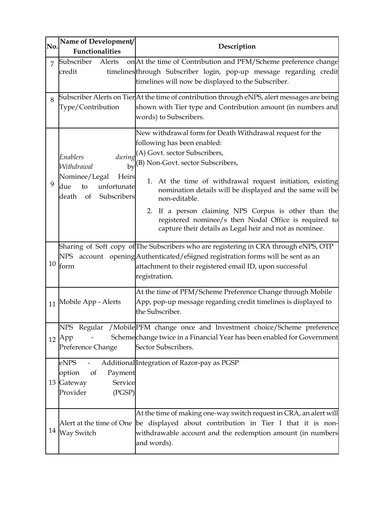| No. | Name of Development/<br><b>Functionalities</b>                                                                   | Description                                                                                                                                                                                                                                                                                                                                                                                                                       |
|-----|------------------------------------------------------------------------------------------------------------------|-----------------------------------------------------------------------------------------------------------------------------------------------------------------------------------------------------------------------------------------------------------------------------------------------------------------------------------------------------------------------------------------------------------------------------------|
| 7   | Subscriber<br>Alerts<br>credit                                                                                   | on At the time of Contribution and PFM/Scheme preference change<br>timelines through Subscriber login, pop-up message regarding credit<br>timelines will now be displayed to the Subscriber.                                                                                                                                                                                                                                      |
| 8   | Type/Contribution                                                                                                | Subscriber Alerts on Tier At the time of contribution through eNPS, alert messages are being<br>shown with Tier type and Contribution amount (in numbers and<br>words) to Subscribers.                                                                                                                                                                                                                                            |
| 9   | Enablers<br>Withdrawal<br>by<br>Nominee/Legal<br>Heirs<br>unfortunate<br>due<br>to<br>Subscribers<br>death<br>of | New withdrawal form for Death Withdrawal request for the<br>following has been enabled:<br>$during(A)$ Govt. sector Subscribers,<br>(B) Non-Govt. sector Subscribers,<br>1. At the time of withdrawal request initiation, existing<br>nomination details will be displayed and the same will be<br>non-editable.<br>2. If a person claiming NPS Corpus is other than the<br>registered nominee/s then Nodal Office is required to |
|     | NPS<br>$10\mbox{~form}$                                                                                          | capture their details as Legal heir and not as nominee.<br>Sharing of Soft copy of The Subscribers who are registering in CRA through eNPS, OTP<br>account opening Authenticated/eSigned registration forms will be sent as an<br>attachment to their registered email ID, upon successful                                                                                                                                        |
| 11  | Mobile App - Alerts                                                                                              | registration.<br>At the time of PFM/Scheme Preference Change through Mobile<br>App, pop-up message regarding credit timelines is displayed to<br>the Subscriber.                                                                                                                                                                                                                                                                  |
|     | NPS<br>$12$ App<br>Preference Change                                                                             | Regular /MobilePFM change once and Investment choice/Scheme preference<br>Schemechange twice in a Financial Year has been enabled for Government<br>Sector Subscribers.                                                                                                                                                                                                                                                           |
|     | eNPS<br>option<br><sub>of</sub><br>Payment<br>13 Gateway<br>Service<br>Provider<br>(PGSP)                        | Additional Integration of Razor-pay as PGSP                                                                                                                                                                                                                                                                                                                                                                                       |
| 14  | Alert at the time of One<br>Way Switch                                                                           | At the time of making one-way switch request in CRA, an alert will<br>be displayed about contribution in Tier I that it is non-<br>withdrawable account and the redemption amount (in numbers<br>and words).                                                                                                                                                                                                                      |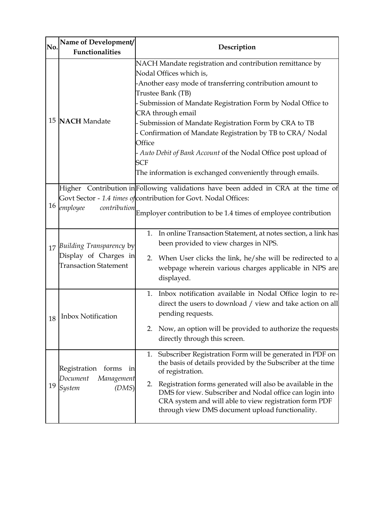| No. | Name of Development/<br><b>Functionalities</b>                                       | Description                                                                                                                                                                                                                                                                                                                                                                                                                                                                                                                           |
|-----|--------------------------------------------------------------------------------------|---------------------------------------------------------------------------------------------------------------------------------------------------------------------------------------------------------------------------------------------------------------------------------------------------------------------------------------------------------------------------------------------------------------------------------------------------------------------------------------------------------------------------------------|
|     | 15 NACH Mandate                                                                      | NACH Mandate registration and contribution remittance by<br>Nodal Offices which is,<br>-Another easy mode of transferring contribution amount to<br>Trustee Bank (TB)<br>- Submission of Mandate Registration Form by Nodal Office to<br>CRA through email<br>Submission of Mandate Registration Form by CRA to TB<br>Confirmation of Mandate Registration by TB to CRA/Nodal<br>Office<br>- Auto Debit of Bank Account of the Nodal Office post upload of<br><b>SCF</b><br>The information is exchanged conveniently through emails. |
| 16  | Higher<br>employee<br>contribution                                                   | Contribution in Following validations have been added in CRA at the time of<br>Govt Sector - 1.4 times of contribution for Govt. Nodal Offices:<br>Employer contribution to be 1.4 times of employee contribution                                                                                                                                                                                                                                                                                                                     |
|     | 17 Building Transparency by<br>Display of Charges in<br><b>Transaction Statement</b> | In online Transaction Statement, at notes section, a link has<br>1.<br>been provided to view charges in NPS.<br>When User clicks the link, he/she will be redirected to a<br>2.<br>webpage wherein various charges applicable in NPS are<br>displayed.                                                                                                                                                                                                                                                                                |
|     | 18   Inbox Notification                                                              | 1. Inbox notification available in Nodal Office login to re-<br>direct the users to download / view and take action on all<br>pending requests.<br>Now, an option will be provided to authorize the requests<br>2.<br>directly through this screen.                                                                                                                                                                                                                                                                                   |
| 19  | Registration forms in<br>Document<br>Management<br>(DMS)<br>System                   | Subscriber Registration Form will be generated in PDF on<br>1.<br>the basis of details provided by the Subscriber at the time<br>of registration.<br>Registration forms generated will also be available in the<br>2.<br>DMS for view. Subscriber and Nodal office can login into<br>CRA system and will able to view registration form PDF<br>through view DMS document upload functionality.                                                                                                                                        |